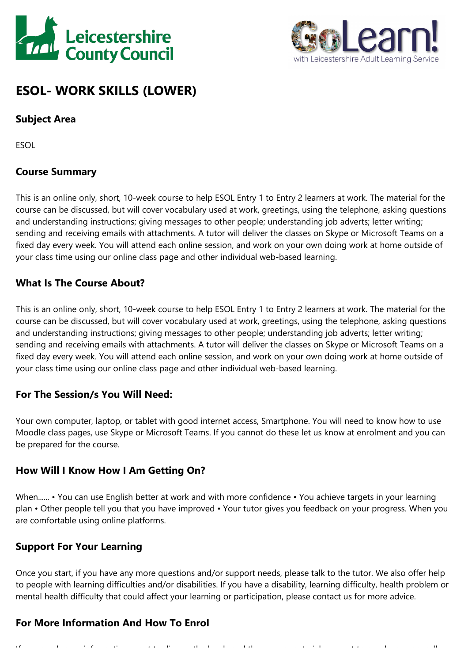



# **ESOL- WORK SKILLS (LOWER)**

### **Subject Area**

ESOL

### **Course Summary**

This is an online only, short, 10-week course to help ESOL Entry 1 to Entry 2 learners at work. The material for the course can be discussed, but will cover vocabulary used at work, greetings, using the telephone, asking questions and understanding instructions; giving messages to other people; understanding job adverts; letter writing; sending and receiving emails with attachments. A tutor will deliver the classes on Skype or Microsoft Teams on <sup>a</sup> fixed day every week. You will attend each online session, and work on your own doing work at home outside of your class time using our online class page and other individual web-based learning.

### **What Is The Course About?**

This is an online only, short, 10-week course to help ESOL Entry 1 to Entry 2 learners at work. The material for the course can be discussed, but will cover vocabulary used at work, greetings, using the telephone, asking questions and understanding instructions; giving messages to other people; understanding job adverts; letter writing; sending and receiving emails with attachments. A tutor will deliver the classes on Skype or Microsoft Teams on <sup>a</sup> fixed day every week. You will attend each online session, and work on your own doing work at home outside of your class time using our online class page and other individual web-based learning.

#### **For The Session/s You Will Need:**

Your own computer, laptop, or tablet with good internet access, Smartphone. You will need to know how to use Moodle class pages, use Skype or Microsoft Teams. If you cannot do these let us know at enrolment and you can be prepared for the course.

#### **How Will I Know How I Am Getting On?**

When...... • You can use English better at work and with more confidence • You achieve targets in your learning plan • Other people tell you that you have improved • Your tutor gives you feedback on your progress. When you are comfortable using online platforms.

### **Support For Your Learning**

Once you start, if you have any more questions and/or support needs, please talk to the tutor. We also offer help to people with learning difficulties and/or disabilities. If you have <sup>a</sup> disability, learning difficulty, health problem or mental health difficulty that could affect your learning or participation, please contact us for more advice.

### **For More Information And How To Enrol**